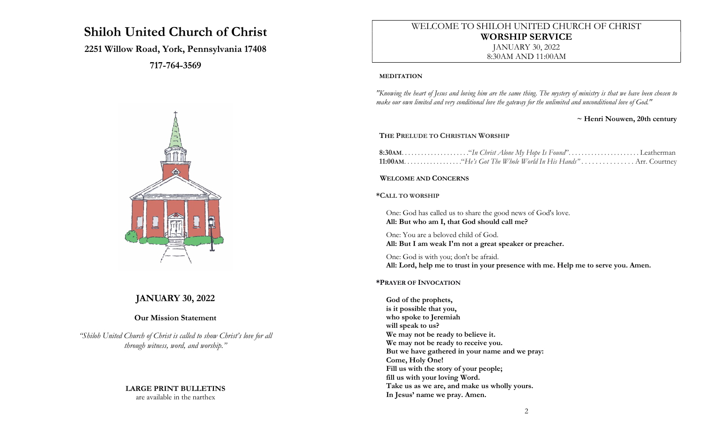# Shiloh United Church of Christ

# 2251 Willow Road, York, Pennsylvania 17408

717-764-3569



# JANUARY 30, 2022

### Our Mission Statement

"Shiloh United Church of Christ is called to show Christ's love for all through witness, word, and worship."

# LARGE PRINT BULLETINS

are available in the narthex

# WELCOME TO SHILOH UNITED CHURCH OF CHRIST WORSHIP SERVICE JANUARY 30, 2022

8:30AM AND 11:00AM

#### MEDITATION

"Knowing the heart of Jesus and loving him are the same thing. The mystery of ministry is that we have been chosen to make our own limited and very conditional love the gateway for the unlimited and unconditional love of God."

#### ~ Henri Nouwen, 20th century

#### THE PRELUDE TO CHRISTIAN WORSHIP

#### WELCOME AND CONCERNS

\*CALL TO WORSHIP

One: God has called us to share the good news of God's love. All: But who am I, that God should call me?

One: You are a beloved child of God. All: But I am weak I'm not a great speaker or preacher.

One: God is with you; don't be afraid. All: Lord, help me to trust in your presence with me. Help me to serve you. Amen.

#### \*PRAYER OF INVOCATION

God of the prophets, is it possible that you, who spoke to Jeremiah will speak to us? We may not be ready to believe it. We may not be ready to receive you. But we have gathered in your name and we pray: Come, Holy One! Fill us with the story of your people; fill us with your loving Word. Take us as we are, and make us wholly yours. In Jesus' name we pray. Amen.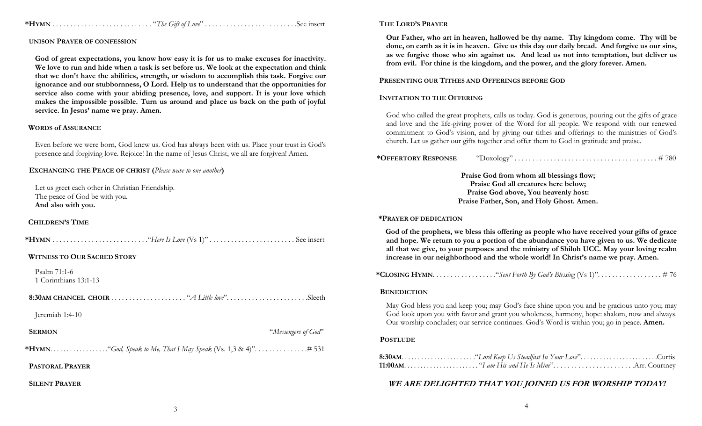\*HYMN . . . . . . . . . . . . . . . . . . . . . . . . . . . . "The Gift of Love" . . . . . . . . . . . . . . . . . . . . . . . . . .See insert

### UNISON PRAYER OF CONFESSION

God of great expectations, you know how easy it is for us to make excuses for inactivity. We love to run and hide when a task is set before us. We look at the expectation and think that we don't have the abilities, strength, or wisdom to accomplish this task. Forgive our ignorance and our stubbornness, O Lord. Help us to understand that the opportunities for service also come with your abiding presence, love, and support. It is your love which makes the impossible possible. Turn us around and place us back on the path of joyful service. In Jesus' name we pray. Amen.

#### WORDS of ASSURANCE

Even before we were born, God knew us. God has always been with us. Place your trust in God's presence and forgiving love. Rejoice! In the name of Jesus Christ, we all are forgiven! Amen.

EXCHANGING THE PEACE OF CHRIST (Please wave to one another)

Let us greet each other in Christian Friendship. The peace of God be with you. And also with you.

#### CHILDREN'S TIME

|--|--|--|

#### WITNESS TO OUR SACRED STORY

Psalm 71:1-6 1 Corinthians 13:1-13

8:30AM CHANCEL CHOIR . . . . . . . . . . . . . . . . . . . . . "A Little love". . . . . . . . . . . . . . . . . . . . . . .Sleeth

Jeremiah 1:4-10

SERMON "Messengers of God"

\*HYMN. . . . . . . . . . . . . . . . . ."God, Speak to Me, That I May Speak (Vs. 1,3 & 4)". . . . . . . . . . . . . . .# 531

PASTORAL PRAYER

SILENT PRAYER

#### THE LORD'S PRAYER

Our Father, who art in heaven, hallowed be thy name. Thy kingdom come. Thy will be done, on earth as it is in heaven. Give us this day our daily bread. And forgive us our sins, as we forgive those who sin against us. And lead us not into temptation, but deliver us from evil. For thine is the kingdom, and the power, and the glory forever. Amen.

#### PRESENTING OUR TITHES AND OFFERINGS BEFORE GOD

#### INVITATION TO THE OFFERING

God who called the great prophets, calls us today. God is generous, pouring out the gifts of grace and love and the life-giving power of the Word for all people. We respond with our renewed commitment to God's vision, and by giving our tithes and offerings to the ministries of God's church. Let us gather our gifts together and offer them to God in gratitude and praise.

\*OFFERTORY RESPONSE "Doxology" . . . . . . . . . . . . . . . . . . . . . . . . . . . . . . . . . . . . . . . . # 780

Praise God from whom all blessings flow; Praise God all creatures here below; Praise God above, You heavenly host: Praise Father, Son, and Holy Ghost. Amen.

#### \*PRAYER OF DEDICATION

God of the prophets, we bless this offering as people who have received your gifts of grace and hope. We return to you a portion of the abundance you have given to us. We dedicate all that we give, to your purposes and the ministry of Shiloh UCC. May your loving realm increase in our neighborhood and the whole world! In Christ's name we pray. Amen.

\*CLOSING HYMN. . . . . . . . . . . . . . . . . ."Sent Forth By God's Blessing (Vs 1)". . . . . . . . . . . . . . . . . . # 76

#### **BENEDICTION**

May God bless you and keep you; may God's face shine upon you and be gracious unto you; may God look upon you with favor and grant you wholeness, harmony, hope: shalom, now and always. Our worship concludes; our service continues. God's Word is within you; go in peace. Amen.

#### **POSTLUDE**

### WE ARE DELIGHTED THAT YOU JOINED US FOR WORSHIP TODAY!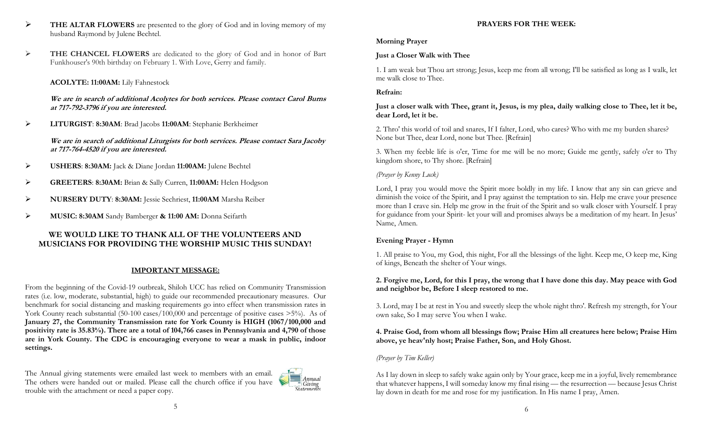- $\triangleright$  THE ALTAR FLOWERS are presented to the glory of God and in loving memory of my husband Raymond by Julene Bechtel.
- > THE CHANCEL FLOWERS are dedicated to the glory of God and in honor of Bart Funkhouser's 90th birthday on February 1. With Love, Gerry and family.

### ACOLYTE: 11:00AM: Lily Fahnestock

We are in search of additional Acolytes for both services. Please contact Carol Burns at 717-792-3796 if you are interested.

LITURGIST: 8:30AM: Brad Jacobs 11:00AM: Stephanie Berkheimer

We are in search of additional Liturgists for both services. Please contact Sara Jacoby at 717-764-4520 if you are interested.

- USHERS: 8:30AM: Jack & Diane Jordan 11:00AM: Julene Bechtel
- GREETERS: 8:30AM: Brian & Sally Curren, 11:00AM: Helen Hodgson
- NURSERY DUTY: 8:30AM: Jessie Sechriest, 11:00AM Marsha Reiber
- MUSIC: 8:30AM Sandy Bamberger & 11:00 AM: Donna Seifarth

### WE WOULD LIKE TO THANK ALL OF THE VOLUNTEERS AND MUSICIANS FOR PROVIDING THE WORSHIP MUSIC THIS SUNDAY!

## IMPORTANT MESSAGE:

From the beginning of the Covid-19 outbreak, Shiloh UCC has relied on Community Transmission rates (i.e. low, moderate, substantial, high) to guide our recommended precautionary measures. Our benchmark for social distancing and masking requirements go into effect when transmission rates in York County reach substantial (50-100 cases/100,000 and percentage of positive cases >5%). As of January 27, the Community Transmission rate for York County is HIGH (1067/100,000 and positivity rate is 35.83%). There are a total of 104,766 cases in Pennsylvania and 4,790 of those are in York County. The CDC is encouraging everyone to wear a mask in public, indoor settings.

The Annual giving statements were emailed last week to members with an email. The others were handed out or mailed. Please call the church office if you have trouble with the attachment or need a paper copy.

### PRAYERS FOR THE WEEK:

## Morning Prayer

# Just a Closer Walk with Thee

1. I am weak but Thou art strong; Jesus, keep me from all wrong; I'll be satisfied as long as I walk, let me walk close to Thee.

### Refrain:

Just a closer walk with Thee, grant it, Jesus, is my plea, daily walking close to Thee, let it be, dear Lord, let it be.

2. Thro' this world of toil and snares, If I falter, Lord, who cares? Who with me my burden shares? None but Thee, dear Lord, none but Thee. [Refrain]

3. When my feeble life is o'er, Time for me will be no more; Guide me gently, safely o'er to Thy kingdom shore, to Thy shore. [Refrain]

# (Prayer by Kenny Luck)

Lord, I pray you would move the Spirit more boldly in my life. I know that any sin can grieve and diminish the voice of the Spirit, and I pray against the temptation to sin. Help me crave your presence more than I crave sin. Help me grow in the fruit of the Spirit and so walk closer with Yourself. I pray for guidance from your Spirit- let your will and promises always be a meditation of my heart. In Jesus' Name, Amen.

## Evening Prayer - Hymn

1. All praise to You, my God, this night, For all the blessings of the light. Keep me, O keep me, King of kings, Beneath the shelter of Your wings.

### 2. Forgive me, Lord, for this I pray, the wrong that I have done this day. May peace with God and neighbor be, Before I sleep restored to me.

3. Lord, may I be at rest in You and sweetly sleep the whole night thro'. Refresh my strength, for Your own sake, So I may serve You when I wake.

### 4. Praise God, from whom all blessings flow; Praise Him all creatures here below; Praise Him above, ye heav'nly host; Praise Father, Son, and Holy Ghost.

## (Prayer by Tim Keller)

 $=$  Annual **Statements** 

As I lay down in sleep to safely wake again only by Your grace, keep me in a joyful, lively remembrance that whatever happens, I will someday know my final rising — the resurrection — because Jesus Christ lay down in death for me and rose for my justification. In His name I pray, Amen.